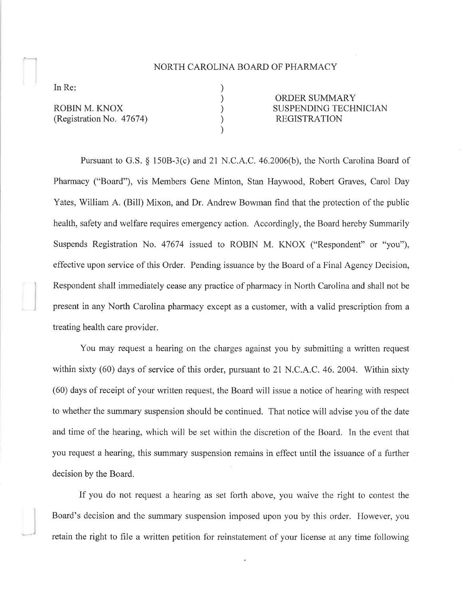## NORTH CAROLINA BOARD OF PHARMACY

) ) ) ) )

In Re

ROBIN M. KNOX (Registration No. 47674)

ORDER SUMMARY SUSPENDING TECHNICIAN REGISTRATION

Pursuant to G.S.  $\S$  150B-3(c) and 21 N.C.A.C. 46.2006(b), the North Carolina Board of Pharmacy ("Board"), vis Members Gene Minton, Stan Haywood, Robert Graves, Carol Day Yates, William A. (Bill) Mixon, and Dr. Andrew Bowman find that the protection of the public health, safety and welfare requires emergency action. Accordingly, the Board hereby Summarily Suspends Registration No. 47674 issued to ROBIN M. KNOX ("Respondent" or "you"), effective upon service of this Order. Pencling issuance by the Board of a Final Agency Decision, Respondent shall immediately cease any practice of pharmacy in North Carolina and shall not be present in any North Carolina pharmacy except as a customer, with a valid prescription from a treating health care provider.

You may request a hearing on the charges against you by submitting a written request within sixty (60) days of service of this order, pursuant to 21 N.C.A.C. 46. 2004. Within sixty (60) days of receipt of your written request, the Board will issue a notice of hearing with respect to whether the summary suspension should be continued. That notice will advise you of the date and time of the hearing, which will be set within the discretion of the Board. In the event that you request a hearing, this summary suspension remains in effect until the issuance of a further decision by the Board.

If you do not request a hearing as set forth above, you waive the right to contest the Board's decision and the summary suspension imposed upon you by this order. However, you retain the right to file a written petition for reinstatement of your license at any time following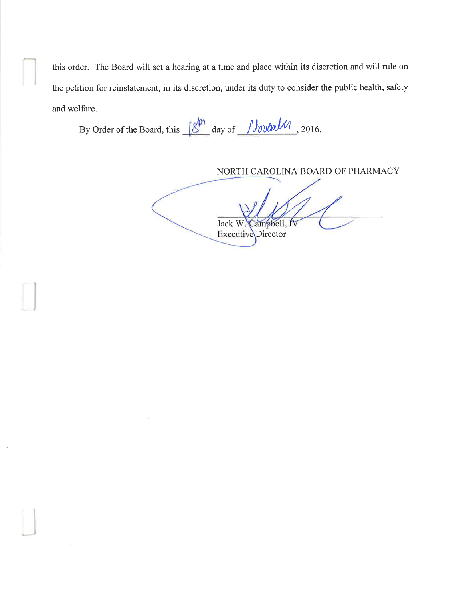this order. The Board will set a hearing at a time and place within its discretion and will rule on the petition for reinstatement, in its discretion, under its duty to consider the public health, safety and welfare.

By Order of the Board, this  $\frac{18^{\text{th}}}{\text{day of}}$  day of  $\frac{\text{NormalM}}{\text{volume}}$ , 2016.

NORTH CAROLINA BOARD OF PHARMACY ampbell, IV Jack W Executive Director